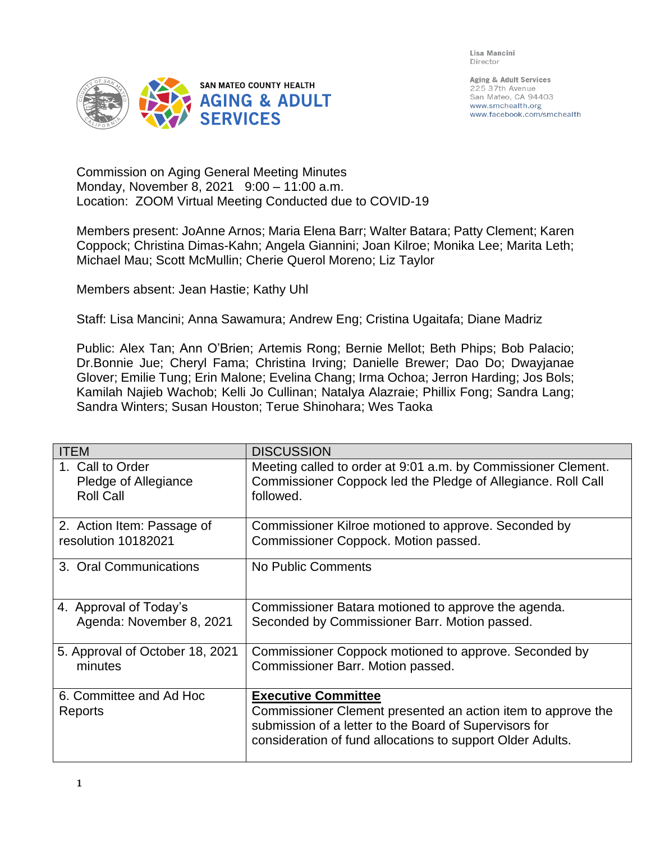Lisa Mancini Director



Aging & Adult Services 225 37th Avenue San Mateo, CA 94403 www.smchealth.org www.facebook.com/smchealth

Commission on Aging General Meeting Minutes Monday, November 8, 2021 9:00 – 11:00 a.m. Location: ZOOM Virtual Meeting Conducted due to COVID-19

Members present: JoAnne Arnos; Maria Elena Barr; Walter Batara; Patty Clement; Karen Coppock; Christina Dimas-Kahn; Angela Giannini; Joan Kilroe; Monika Lee; Marita Leth; Michael Mau; Scott McMullin; Cherie Querol Moreno; Liz Taylor

Members absent: Jean Hastie; Kathy Uhl

Staff: Lisa Mancini; Anna Sawamura; Andrew Eng; Cristina Ugaitafa; Diane Madriz

Public: Alex Tan; Ann O'Brien; Artemis Rong; Bernie Mellot; Beth Phips; Bob Palacio; Dr.Bonnie Jue; Cheryl Fama; Christina Irving; Danielle Brewer; Dao Do; Dwayjanae Glover; Emilie Tung; Erin Malone; Evelina Chang; Irma Ochoa; Jerron Harding; Jos Bols; Kamilah Najieb Wachob; Kelli Jo Cullinan; Natalya Alazraie; Phillix Fong; Sandra Lang; Sandra Winters; Susan Houston; Terue Shinohara; Wes Taoka

| <b>ITEM</b>                        | <b>DISCUSSION</b>                                                                                                                                                                                                  |
|------------------------------------|--------------------------------------------------------------------------------------------------------------------------------------------------------------------------------------------------------------------|
| 1. Call to Order                   | Meeting called to order at 9:01 a.m. by Commissioner Clement.                                                                                                                                                      |
| Pledge of Allegiance               | Commissioner Coppock led the Pledge of Allegiance. Roll Call                                                                                                                                                       |
| <b>Roll Call</b>                   | followed.                                                                                                                                                                                                          |
| 2. Action Item: Passage of         | Commissioner Kilroe motioned to approve. Seconded by                                                                                                                                                               |
| resolution 10182021                | Commissioner Coppock. Motion passed.                                                                                                                                                                               |
| 3. Oral Communications             | No Public Comments                                                                                                                                                                                                 |
| 4. Approval of Today's             | Commissioner Batara motioned to approve the agenda.                                                                                                                                                                |
| Agenda: November 8, 2021           | Seconded by Commissioner Barr. Motion passed.                                                                                                                                                                      |
| 5. Approval of October 18, 2021    | Commissioner Coppock motioned to approve. Seconded by                                                                                                                                                              |
| minutes                            | Commissioner Barr. Motion passed.                                                                                                                                                                                  |
| 6. Committee and Ad Hoc<br>Reports | <b>Executive Committee</b><br>Commissioner Clement presented an action item to approve the<br>submission of a letter to the Board of Supervisors for<br>consideration of fund allocations to support Older Adults. |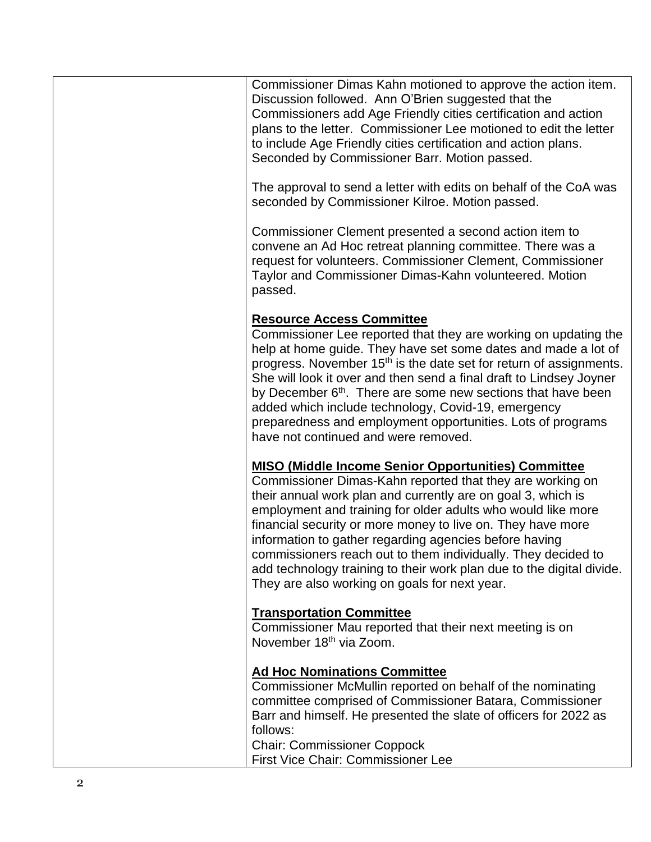Commissioner Dimas Kahn motioned to approve the action item. Discussion followed. Ann O'Brien suggested that the Commissioners add Age Friendly cities certification and action plans to the letter. Commissioner Lee motioned to edit the letter to include Age Friendly cities certification and action plans. Seconded by Commissioner Barr. Motion passed. The approval to send a letter with edits on behalf of the CoA was seconded by Commissioner Kilroe. Motion passed. Commissioner Clement presented a second action item to convene an Ad Hoc retreat planning committee. There was a request for volunteers. Commissioner Clement, Commissioner Taylor and Commissioner Dimas -Kahn volunteered. Motion passed . **Resource Access Committee** Commissioner Lee reported that they are working on updating the help at home guide. They have set some dates and made a lot of progress. November 15<sup>th</sup> is the date set for return of assignments. She will look it over and then send a final draft to Lindsey Joyner by December 6<sup>th</sup>. There are some new sections that have been added which include technology, Covid -19, emergency preparedness and employment opportunities. Lots of programs have not continued and were removed. **MISO (Middle Income Senior Opportunities) Committee** Commissioner Dimas -Kahn reported that they are working on their annual work plan and currently are on goal 3, which is employment and training for older adults who would like more financial security or more money to live on. They have more information to gather regarding agencies before having commissioners reach out to them individually. They decided to add technology training to their work plan due to the digital divide. They are also working on goals for next year. **Transportation Committee** Commissioner Mau reported that their next meeting is on November 18<sup>th</sup> via Zoom. **Ad Hoc Nominations Committee** Commissioner McMullin reported on behalf of the nominating committee comprised of Commissioner Batara, Commissioner Barr and himself. He presented the slate of officers for 2022 as follows:

Chair: Commissioner Coppock First Vice Chair: Commissioner Lee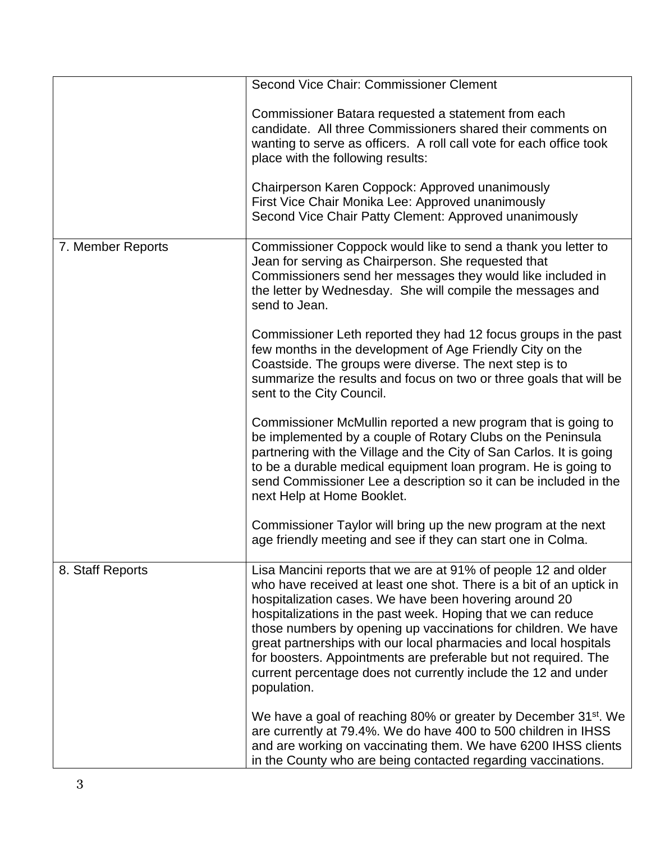|                   | Second Vice Chair: Commissioner Clement                                                                                               |
|-------------------|---------------------------------------------------------------------------------------------------------------------------------------|
|                   | Commissioner Batara requested a statement from each                                                                                   |
|                   | candidate. All three Commissioners shared their comments on                                                                           |
|                   | wanting to serve as officers. A roll call vote for each office took                                                                   |
|                   | place with the following results:                                                                                                     |
|                   | Chairperson Karen Coppock: Approved unanimously                                                                                       |
|                   | First Vice Chair Monika Lee: Approved unanimously                                                                                     |
|                   | Second Vice Chair Patty Clement: Approved unanimously                                                                                 |
| 7. Member Reports | Commissioner Coppock would like to send a thank you letter to                                                                         |
|                   | Jean for serving as Chairperson. She requested that                                                                                   |
|                   | Commissioners send her messages they would like included in<br>the letter by Wednesday. She will compile the messages and             |
|                   | send to Jean.                                                                                                                         |
|                   | Commissioner Leth reported they had 12 focus groups in the past                                                                       |
|                   | few months in the development of Age Friendly City on the                                                                             |
|                   | Coastside. The groups were diverse. The next step is to                                                                               |
|                   | summarize the results and focus on two or three goals that will be<br>sent to the City Council.                                       |
|                   |                                                                                                                                       |
|                   | Commissioner McMullin reported a new program that is going to                                                                         |
|                   | be implemented by a couple of Rotary Clubs on the Peninsula                                                                           |
|                   | partnering with the Village and the City of San Carlos. It is going<br>to be a durable medical equipment loan program. He is going to |
|                   | send Commissioner Lee a description so it can be included in the                                                                      |
|                   | next Help at Home Booklet.                                                                                                            |
|                   | Commissioner Taylor will bring up the new program at the next                                                                         |
|                   | age friendly meeting and see if they can start one in Colma.                                                                          |
| 8. Staff Reports  | Lisa Mancini reports that we are at 91% of people 12 and older                                                                        |
|                   | who have received at least one shot. There is a bit of an uptick in                                                                   |
|                   | hospitalization cases. We have been hovering around 20                                                                                |
|                   | hospitalizations in the past week. Hoping that we can reduce                                                                          |
|                   | those numbers by opening up vaccinations for children. We have<br>great partnerships with our local pharmacies and local hospitals    |
|                   | for boosters. Appointments are preferable but not required. The                                                                       |
|                   | current percentage does not currently include the 12 and under                                                                        |
|                   | population.                                                                                                                           |
|                   | We have a goal of reaching 80% or greater by December 31 <sup>st</sup> . We                                                           |
|                   | are currently at 79.4%. We do have 400 to 500 children in IHSS                                                                        |
|                   | and are working on vaccinating them. We have 6200 IHSS clients<br>in the County who are being contacted regarding vaccinations.       |
|                   |                                                                                                                                       |